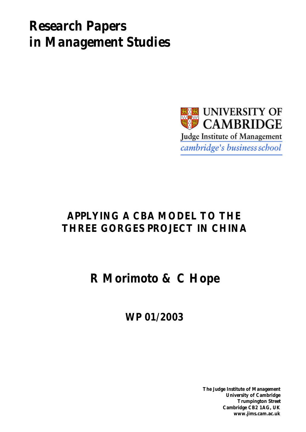# *Research Papers in Management Studies*



## **APPLYING A CBA MODEL TO THE THREE GORGES PROJECT IN CHINA**

**R Morimoto & C Hope**

**WP 01/2003**

**The Judge Institute of Management University of Cambridge Trumpington Street Cambridge CB2 1AG, UK www.jims.cam.ac.uk**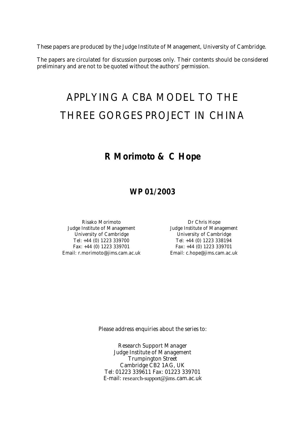These papers are produced by the Judge Institute of Management, University of Cambridge.

The papers are circulated for discussion purposes only. Their contents should be considered preliminary and are not to be quoted without the authors' permission.

# APPLYING A CBA MODEL TO THE THREE GORGES PROJECT IN CHINA

## **R Morimoto & C Hope**

### **WP 01/2003**

Risako Morimoto **Dr Chris Hope** Judge Institute of Management Judge Institute of Management University of Cambridge The Controller Constants University of Cambridge Tel: +44 (0) 1223 339700 Tel: +44 (0) 1223 338194 Fax: +44 (0) 1223 339701 Fax: +44 (0) 1223 339701 Email: r.morimoto@jims.cam.ac.uk Email: c.hope@jims.cam.ac.uk

Please address enquiries about the series to:

Research Support Manager Judge Institute of Management Trumpington Street Cambridge CB2 1AG, UK Tel: 01223 339611 Fax: 01223 339701 E-mail: research-support@jims.cam.ac.uk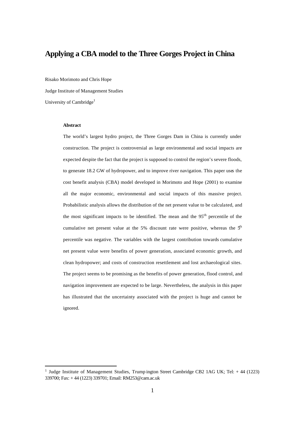### **Applying a CBA model to the Three Gorges Project in China**

Risako Morimoto and Chris Hope Judge Institute of Management Studies University of Cambridge<sup>1</sup>

#### **Abstract**

The world's largest hydro project, the Three Gorges Dam in China is currently under construction. The project is controversial as large environmental and social impacts are expected despite the fact that the project is supposed to control the region's severe floods, to generate 18.2 GW of hydropower, and to improve river navigation. This paper uses the cost benefit analysis (CBA) model developed in Morimoto and Hope (2001) to examine all the major economic, environmental and social impacts of this massive project. Probabilistic analysis allows the distribution of the net present value to be calculated, and the most significant impacts to be identified. The mean and the 95<sup>th</sup> percentile of the cumulative net present value at the 5% discount rate were positive, whereas the  $5<sup>th</sup>$ percentile was negative. The variables with the largest contribution towards cumulative net present value were benefits of power generation, associated economic growth, and clean hydropower; and costs of construction resettlement and lost archaeological sites. The project seems to be promising as the benefits of power generation, flood control, and navigation improvement are expected to be large. Nevertheless, the analysis in this paper has illustrated that the uncertainty associated with the project is huge and cannot be ignored.

<sup>&</sup>lt;sup>1</sup> Judge Institute of Management Studies, Trump ington Street Cambridge CB2 1AG UK; Tel: +44 (1223) 339700; Fax: + 44 (1223) 339701; Email: RM253@cam.ac.uk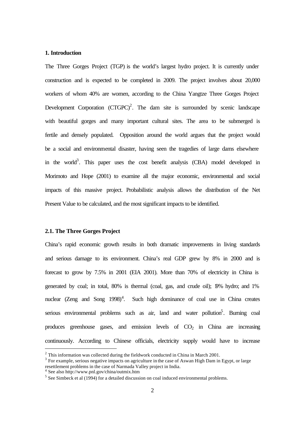#### **1. Introduction**

The Three Gorges Project (TGP) is the world's largest hydro project. It is currently under construction and is expected to be completed in 2009. The project involves about 20,000 workers of whom 40% are women, according to the China Yangtze Three Gorges Project Development Corporation  $(CTGPC)^2$ . The dam site is surrounded by scenic landscape with beautiful gorges and many important cultural sites. The area to be submerged is fertile and densely populated. Opposition around the world argues that the project would be a social and environmental disaster, having seen the tragedies of large dams elsewhere in the world<sup>3</sup>. This paper uses the cost benefit analysis (CBA) model developed in Morimoto and Hope (2001) to examine all the major economic, environmental and social impacts of this massive project. Probabilistic analysis allows the distribution of the Net Present Value to be calculated, and the most significant impacts to be identified.

#### **2.1. The Three Gorges Project**

China's rapid economic growth results in both dramatic improvements in living standards and serious damage to its environment. China's real GDP grew by 8% in 2000 and is forecast to grow by 7.5% in 2001 (EIA 2001). More than 70% of electricity in China is generated by coal; in total, 80% is thermal (coal, gas, and crude oil); 19% hydro; and 1% nuclear (Zeng and Song  $1998$ )<sup>4</sup>. Such high dominance of coal use in China creates serious environmental problems such as air, land and water pollution<sup>5</sup>. Burning coal produces greenhouse gases, and emission levels of  $CO<sub>2</sub>$  in China are increasing continuously. According to Chinese officials, electricity supply would have to increase

 $2$  This information was collected during the fieldwork conducted in China in March 2001.

 $3$  For example, serious negative impacts on agriculture in the case of Aswan High Dam in Egypt, or large resettlement problems in the case of Narmada Valley project in India.

<sup>4</sup> See also http://www.pnl.gov/china/outmix.htm

 $<sup>5</sup>$  See Simbeck et al (1994) for a detailed discussion on coal induced environmental problems.</sup>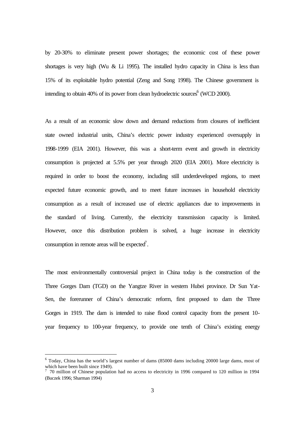by 20-30% to eliminate present power shortages; the economic cost of these power shortages is very high (Wu  $& Li$  1995). The installed hydro capacity in China is less than 15% of its exploitable hydro potential (Zeng and Song 1998). The Chinese government is intending to obtain 40% of its power from clean hydroelectric sources<sup>6</sup> (WCD 2000).

As a result of an economic slow down and demand reductions from closures of inefficient state owned industrial units, China's electric power industry experienced oversupply in 1998-1999 (EIA 2001). However, this was a short-term event and growth in electricity consumption is projected at 5.5% per year through 2020 (EIA 2001). More electricity is required in order to boost the economy, including still underdeveloped regions, to meet expected future economic growth, and to meet future increases in household electricity consumption as a result of increased use of electric appliances due to improvements in the standard of living. Currently, the electricity transmission capacity is limited. However, once this distribution problem is solved, a huge increase in electricity consumption in remote areas will be expected<sup>7</sup>.

The most environmentally controversial project in China today is the construction of the Three Gorges Dam (TGD) on the Yangtze River in western Hubei province. Dr Sun Yat-Sen, the forerunner of China's democratic reform, first proposed to dam the Three Gorges in 1919. The dam is intended to raise flood control capacity from the present 10 year frequency to 100-year frequency, to provide one tenth of China's existing energy

<sup>&</sup>lt;sup>6</sup> Today, China has the world's largest number of dams (85000 dams including 20000 large dams, most of which have been built since 1949).<br>
<sup>7</sup> 70 million of Chinese population had no access to electricity in 1996 compared to 120 million in 1994

<sup>(</sup>Buczek 1996; Sharman 1994)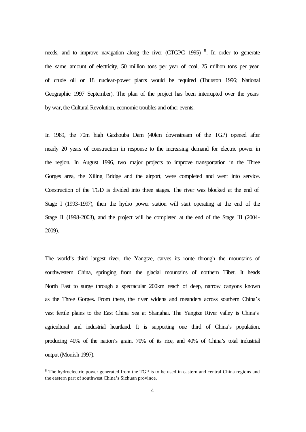needs, and to improve navigation along the river (CTGPC 1995)<sup>8</sup>. In order to generate the same amount of electricity, 50 million tons per year of coal, 25 million tons per year of crude oil or 18 nuclear-power plants would be required (Thurston 1996; National Geographic 1997 September). The plan of the project has been interrupted over the years by war, the Cultural Revolution, economic troubles and other events.

In 1989, the 70m high Gazhouba Dam (40km downstream of the TGP) opened after nearly 20 years of construction in response to the increasing demand for electric power in the region. In August 1996, two major projects to improve transportation in the Three Gorges area, the Xiling Bridge and the airport, were completed and went into service. Construction of the TGD is divided into three stages. The river was blocked at the end of Stage I (1993-1997), then the hydro power station will start operating at the end of the Stage II (1998-2003), and the project will be completed at the end of the Stage III (2004- 2009).

The world's third largest river, the Yangtze, carves its route through the mountains of southwestern China, springing from the glacial mountains of northern Tibet. It heads North East to surge through a spectacular 200km reach of deep, narrow canyons known as the Three Gorges. From there, the river widens and meanders across southern China's vast fertile plains to the East China Sea at Shanghai. The Yangtze River valley is China's agricultural and industrial heartland. It is supporting one third of China's population, producing 40% of the nation's grain, 70% of its rice, and 40% of China's total industrial output (Morrish 1997).

<sup>&</sup>lt;sup>8</sup> The hydroelectric power generated from the TGP is to be used in eastern and central China regions and the eastern part of southwest China's Sichuan province.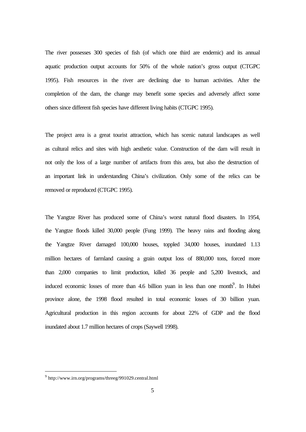The river possesses 300 species of fish (of which one third are endemic) and its annual aquatic production output accounts for 50% of the whole nation's gross output (CTGPC 1995). Fish resources in the river are declining due to human activities. After the completion of the dam, the change may benefit some species and adversely affect some others since different fish species have different living habits (CTGPC 1995).

The project area is a great tourist attraction, which has scenic natural landscapes as well as cultural relics and sites with high aesthetic value. Construction of the dam will result in not only the loss of a large number of artifacts from this area, but also the destruction of an important link in understanding China's civilization. Only some of the relics can be removed or reproduced (CTGPC 1995).

The Yangtze River has produced some of China's worst natural flood disasters. In 1954, the Yangtze floods killed 30,000 people (Fung 1999). The heavy rains and flooding along the Yangtze River damaged 100,000 houses, toppled 34,000 houses, inundated 1.13 million hectares of farmland causing a grain output loss of 880,000 tons, forced more than 2,000 companies to limit production, killed 36 people and 5,200 livestock, and induced economic losses of more than 4.6 billion yuan in less than one month<sup>9</sup>. In Hubei province alone, the 1998 flood resulted in total economic losses of 30 billion yuan. Agricultural production in this region accounts for about 22% of GDP and the flood inundated about 1.7 million hectares of crops (Saywell 1998).

<sup>&</sup>lt;sup>9</sup> http://www.irn.org/programs/threeg/991029.central.html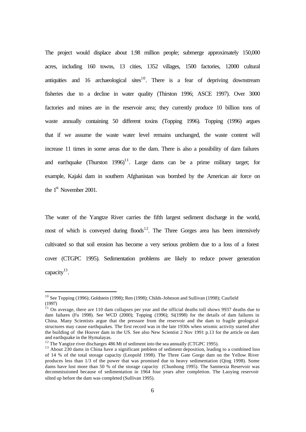The project would displace about 1.98 million people; submerge approximately 150,000 acres, including 160 towns, 13 cities, 1352 villages, 1500 factories, 12000 cultural antiquities and 16 archaeological sites $10$ . There is a fear of depriving downstream fisheries due to a decline in water quality (Thirston 1996; ASCE 1997). Over 3000 factories and mines are in the reservoir area; they currently produce 10 billion tons of waste annually containing 50 different toxins (Topping 1996). Topping (1996) argues that if we assume the waste water level remains unchanged, the waste content will increase 11 times in some areas due to the dam. There is also a possibility of dam failures and earthquake (Thurston 1996)<sup>11</sup>. Large dams can be a prime military target; for example, Kajaki dam in southern Afghanistan was bombed by the American air force on the 1<sup>st</sup> November 2001.

The water of the Yangtze River carries the fifth largest sediment discharge in the world, most of which is conveyed during  $floods$ <sup>12</sup>. The Three Gorges area has been intensively cultivated so that soil erosion has become a very serious problem due to a loss of a forest cover (CTGPC 1995). Sedimentation problems are likely to reduce power generation capacity $^{13}$ .

<sup>&</sup>lt;sup>10</sup> See Topping (1996); Goldstein (1998); Ren (1998); Childs-Johnson and Sullivan (1998); Caufield (1997)

 $11$  On average, there are 110 dam collapses per year and the official deaths toll shows 9937 deaths due to dam failures (Fu 1998). See WCD (2000); Topping (1996); Si(1998) for the details of dam failures in China. Many Scientists argue that the pressure from the reservoir and the dam to fragile geological structures may cause earthquakes. The first record was in the late 1930s when seismic activity started after the building of the Hoover dam in the US. See also New Scientist 2 Nov 1991 p.13 for the article on dam and earthquake in the Hymalayas.

 $12$  The Yangtze river discharges 486 Mt of sediment into the sea annually (CTGPC 1995).

<sup>&</sup>lt;sup>13</sup> About 230 dams in China have a significant problem of sediment deposition, leading to a combined loss of 14 % of the total storage capacity (Leopold 1998). The Three Gate Gorge dam on the Yellow River produces less than 1/3 of the power that was promised due to heavy sedimentation (Qing 1998). Some dams have lost more than 50 % of the storage capacity (Chunhong 1995). The Sanmexia Reservoir was decommissioned because of sedimentation in 1964 four years after completion. The Laoying reservoir silted up before the dam was completed (Sullivan 1995).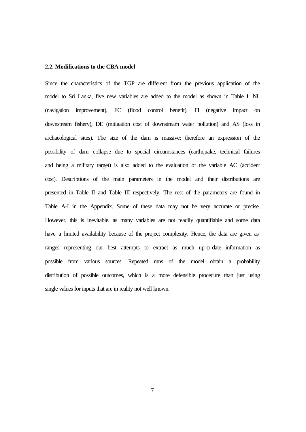#### **2.2. Modifications to the CBA model**

Since the characteristics of the TGP are different from the previous application of the model to Sri Lanka, five new variables are added to the model as shown in Table I: NI (navigation improvement), FC (flood control benefit), FI (negative impact on downstream fishery), DE (mitigation cost of downstream water pollution) and AS (loss in archaeological sites). The size of the dam is massive; therefore an expression of the possibility of dam collapse due to special circumstances (earthquake, technical failures and being a military target) is also added to the evaluation of the variable AC (accident cost). Descriptions of the main parameters in the model and their distributions are presented in Table II and Table III respectively. The rest of the parameters are found in Table A-I in the Appendix. Some of these data may not be very accurate or precise. However, this is inevitable, as many variables are not readily quantifiable and some data have a limited availability because of the project complexity. Hence, the data are given as ranges representing our best attempts to extract as much up-to-date information as possible from various sources. Repeated runs of the model obtain a probability distribution of possible outcomes, which is a more defensible procedure than just using single values for inputs that are in reality not well known.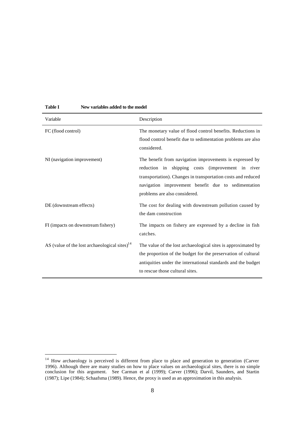| Variable                                                  | Description                                                                                                                                                                                                                                                           |
|-----------------------------------------------------------|-----------------------------------------------------------------------------------------------------------------------------------------------------------------------------------------------------------------------------------------------------------------------|
| FC (flood control)                                        | The monetary value of flood control benefits. Reductions in<br>flood control benefit due to sedimentation problems are also<br>considered.                                                                                                                            |
| NI (navigation improvement)                               | The benefit from navigation improvements is expressed by<br>reduction in shipping costs (improvement in river<br>transportation). Changes in transportation costs and reduced<br>navigation improvement benefit due to sedimentation<br>problems are also considered. |
| DE (downstream effects)                                   | The cost for dealing with downstream pollution caused by<br>the dam construction                                                                                                                                                                                      |
| FI (impacts on downstream fishery)                        | The impacts on fishery are expressed by a decline in fish<br>catches.                                                                                                                                                                                                 |
| AS (value of the lost archaeological sites) <sup>14</sup> | The value of the lost archaeological sites is approximated by<br>the proportion of the budget for the preservation of cultural<br>antiquities under the international standards and the budget<br>to rescue those cultural sites.                                     |

#### **Table I New variables added to the model**

 $14$  How archaeology is perceived is different from place to place and generation to generation (Carver 1996). Although there are many studies on how to place values on archaeological sites, there is no simple conclusion for this argument. See Carman et al (1999); Carver (1996); Darvil, Saunders, and Startin (1987); Lipe (1984); Schaafsma (1989). Hence, the proxy is used as an approximation in this analysis.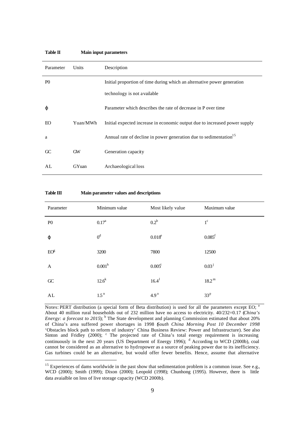| Parameter      | Units        | Description                                                                   |
|----------------|--------------|-------------------------------------------------------------------------------|
| P <sub>0</sub> |              | Initial proportion of time during which an alternative power generation       |
|                |              | technology is not available                                                   |
| φ              |              | Parameter which describes the rate of decrease in P over time                 |
| EO.            | Yuan/MWh     | Initial expected increase in economic output due to increased power supply    |
| a              |              | Annual rate of decline in power generation due to sedimentation <sup>15</sup> |
| GC             | GW           | Generation capacity                                                           |
| AL.            | <b>GYuan</b> | Archaeological loss                                                           |

**Table II Main input parameters** 

| Table III | Main parameter values and descriptions |
|-----------|----------------------------------------|
|-----------|----------------------------------------|

| Parameter      | Minimum value      | Most likely value | Maximum value        |
|----------------|--------------------|-------------------|----------------------|
| P <sub>0</sub> | $0.17^{\rm a}$     | $0.2^b$           | $1^{\rm c}$          |
| $\varphi$      | $0^d$              | $0.018^e$         | $0.085$ <sup>f</sup> |
| $EO^g$         | 3200               | 7800              | 12500                |
| A              | 0.001 <sup>h</sup> | $0.005^{\rm i}$   | $0.03^{j}$           |
| ${\rm GC}$     | $12.6^{k}$         | $16.4^1$          | 18.2 <sup>m</sup>    |
| AL             | 1.5 <sup>n</sup>   | $4.9^\circ$       | 33 <sup>p</sup>      |

Notes: PERT distribution (a special form of Beta distribution) is used for all the parameters except EO; <sup>a</sup> About 40 million rural households out of 232 million have no access to electricity. 40/232=0.17 (*China's Energy: a forecast to 2015*);<sup>b</sup> The State development and planning Commission estimated that about 20% of China's area suffered power shortages in 1998 (*South China Morning Post 10 December 1998* 'Obstacles block path to reform of industry' China Business Review: Power and Infrastructure). See also Sinton and Fridley (2000);  $\degree$  The projected rate of China's total energy requirement is increasing continuously in the next 20 years (US Department of Energy 1996);  $d$  According to WCD (2000b), coal cannot be considered as an alternative to hydropower as a source of peaking power due to its inefficiency. Gas turbines could be an alternative, but would offer fewer benefits. Hence, assume that alternative

<sup>&</sup>lt;sup>15</sup> Experiences of dams worldwide in the past show that sedimentation problem is a common issue. See e.g., WCD (2000); Smith (1999); Dixon (2000); Leopold (1998); Chunhong (1995). However, there is little data avaialble on loss of live storage capacity (WCD 2000b).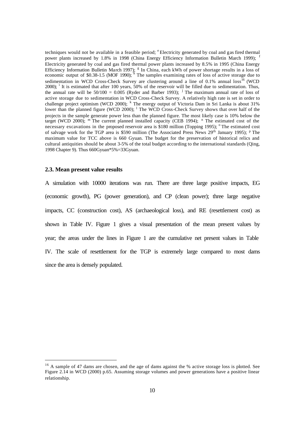techniques would not be available in a feasible period; <sup>e</sup>Electricity generated by coal and gas fired thermal power plants increased by 1.8% in 1998 (China Energy Efficiency Information Bulletin March 1999); Electricity generated by coal and gas fired thermal power plants increased by 8.5% in 1995 (China Energy Efficiency Information Bulletin March 1997); <sup>g</sup> In China, each kWh of power shortage results in a loss of economic output of \$0.38-1.5 (MOF 1990);  $\overline{h}$  The samples examining rates of loss of active storage due to sedimentation in WCD Cross-Check Survey are clustering around a line of 0.1% annual loss<sup>16</sup> (WCD 2000); <sup>i</sup> It is estimated that after 100 years, 50% of the reservoir will be filled due to sedimentation. Thus, the annual rate will be  $50/100 = 0.005$  (Ryder and Barber 1993); <sup>j</sup> The maximum annual rate of loss of active storage due to sedimentation in WCD Cross-Check Survey. A relatively high rate is set in order to challenge project optimism (WCD 2000); <sup>k</sup> The energy output of Victoria Dam in Sri Lanka is about 31% lower than the planned figure (WCD 2000); <sup>1</sup> The WCD Cross-Check Survey shows that over half of the projects in the sample generate power less than the planned figure. The most likely case is 10% below the target (WCD 2000); <sup>m</sup> The current planned installed capacity (CEB 1994); <sup>n</sup> The estimated cost of the necessary excavations in the proposed reservoir area is \$180 million (Topping 1995); <sup>o</sup>The estimated cost of salvage work for the TGP area is \$590 million (The Associated Press News 29<sup>th</sup> January 1995): <sup>p</sup> The maximum value for TCC above is 660 Gyuan. The budget for the preservation of historical relics and cultural antiquities should be about 3-5% of the total budget according to the international standards (Qing, 1998 Chapter 9). Thus 660Gyuan\*5%=33Gyuan.

#### **2.3. Mean present value results**

A simulation with 10000 iterations was run. There are three large positive impacts, EG (economic growth), PG (power generation), and CP (clean power); three large negative impacts, CC (construction cost), AS (archaeological loss), and RE (resettlement cost) as shown in Table IV. Figure 1 gives a visual presentation of the mean present values by year; the areas under the lines in Figure 1 are the cumulative net present values in Table IV. The scale of resettlement for the TGP is extremely large compared to most dams since the area is densely populated.

<sup>&</sup>lt;sup>16</sup> A sample of 47 dams are chosen, and the age of dams against the % active storage loss is plotted. See Figure 2.14 in WCD (2000) p.65. Assuming storage volumes and power generations have a positive linear relationship.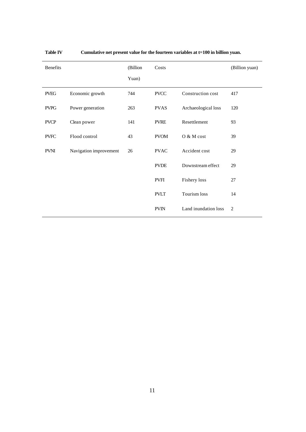| Benefits    |                        | (Billion | Costs       |                      | (Billion yuan) |
|-------------|------------------------|----------|-------------|----------------------|----------------|
|             |                        | Yuan)    |             |                      |                |
| <b>PVEG</b> | Economic growth        | 744      | <b>PVCC</b> | Construction cost    | 417            |
| <b>PVPG</b> | Power generation       | 263      | <b>PVAS</b> | Archaeological loss  | 120            |
| <b>PVCP</b> | Clean power            | 141      | <b>PVRE</b> | Resettlement         | 93             |
| <b>PVFC</b> | Flood control          | 43       | <b>PVOM</b> | $O & M \cos t$       | 39             |
| <b>PVNI</b> | Navigation improvement | 26       | <b>PVAC</b> | Accident cost        | 29             |
|             |                        |          | <b>PVDE</b> | Downstream effect    | 29             |
|             |                        |          | <b>PVFI</b> | Fishery loss         | 27             |
|             |                        |          | <b>PVLT</b> | Tourism loss         | 14             |
|             |                        |          | <b>PVIN</b> | Land inundation loss | 2              |

**Table IV Cumulative net present value for the fourteen variables at t=100 in billion yuan.**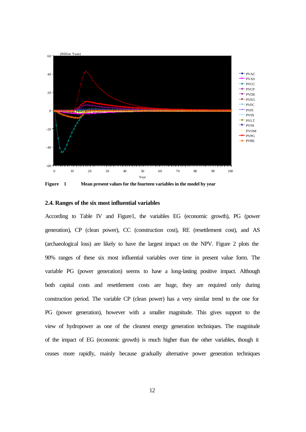

**Figure 1 Mean present values for the fourteen variables in the model by year**

#### **2.4. Ranges of the six most influential variables**

According to Table IV and Figure1, the variables EG (economic growth), PG (power generation), CP (clean power), CC (construction cost), RE (resettlement cost), and AS (archaeological loss) are likely to have the largest impact on the NPV. Figure 2 plots the 90% ranges of these six most influential variables over time in present value form. The variable PG (power generation) seems to have a long-lasting positive impact. Although both capital costs and resettlement costs are huge, they are required only during construction period. The variable CP (clean power) has a very similar trend to the one for PG (power generation), however with a smaller magnitude. This gives support to the view of hydropower as one of the cleanest energy generation techniques. The magnitude of the impact of EG (economic growth) is much higher than the other variables, though it ceases more rapidly, mainly because gradually alternative power generation techniques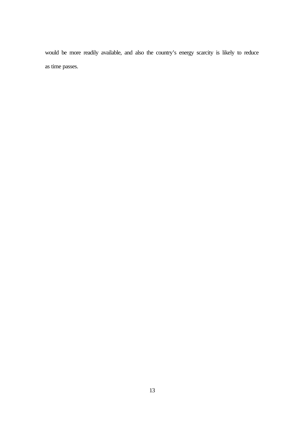would be more readily available, and also the country's energy scarcity is likely to reduce as time passes.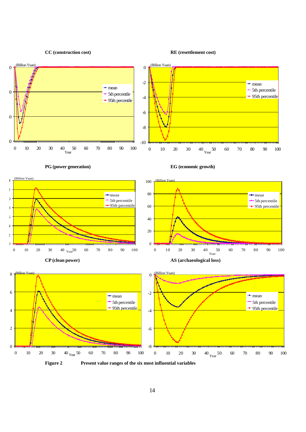**CC (construction cost) RE (resettlement cost)** 







8

(Billion Yu

**PG (power generation) EG (economic growth)**







**Figure 2 Present value ranges of the six most influential variables**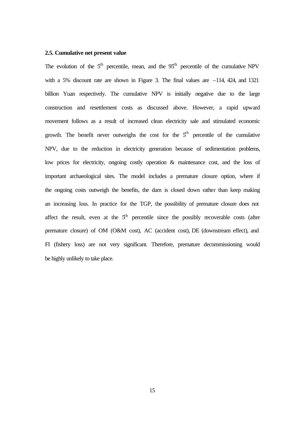#### **2.5. Cumulative net present value**

The evolution of the  $5<sup>th</sup>$  percentile, mean, and the  $95<sup>th</sup>$  percentile of the cumulative NPV with a 5% discount rate are shown in Figure 3. The final values are  $-114$ , 424, and 1321 billion Yuan respectively. The cumulative NPV is initially negative due to the large construction and resettlement costs as discussed above. However, a rapid upward movement follows as a result of increased clean electricity sale and stimulated economic growth. The benefit never outweighs the cost for the  $5<sup>th</sup>$  percentile of the cumulative NPV, due to the reduction in electricity generation because of sedimentation problems, low prices for electricity, ongoing costly operation & maintenance cost, and the loss of important archaeological sites. The model includes a premature closure option, where if the ongoing costs outweigh the benefits, the dam is closed down rather than keep making an increasing loss. In practice for the TGP, the possibility of premature closure does not affect the result, even at the  $5<sup>th</sup>$  percentile since the possibly recoverable costs (after premature closure) of OM (O&M cost), AC (accident cost), DE (downstream effect), and FI (fishery loss) are not very significant. Therefore, premature decommissioning would be highly unlikely to take place.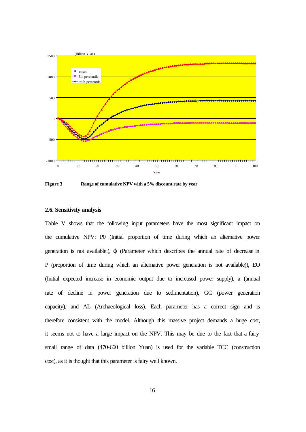

**Figure 3 Range of cumulative NPV with a 5% discount rate by year**

#### **2.6. Sensitivity analysis**

Table V shows that the following input parameters have the most significant impact on the cumulative NPV: P0 (Initial proportion of time during which an alternative power generation is not available.), ϕ (Parameter which describes the annual rate of decrease in P (proportion of time during which an alternative power generation is not available)), EO (Initial expected increase in economic output due to increased power supply), a (annual rate of decline in power generation due to sedimentation), GC (power generation capacity), and AL (Archaeological loss). Each parameter has a correct sign and is therefore consistent with the model. Although this massive project demands a huge cost, it seems not to have a large impact on the NPV. This may be due to the fact that a fairy small range of data (470-660 billion Yuan) is used for the variable TCC (construction cost), as it is thought that this parameter is fairy well known.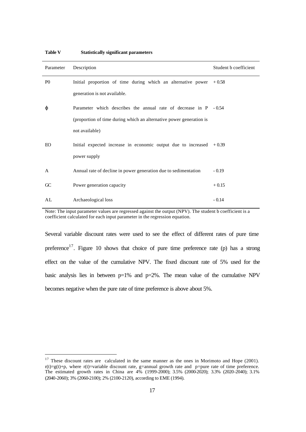| Parameter      | Description                                                         | Student b coefficient |
|----------------|---------------------------------------------------------------------|-----------------------|
| P <sub>0</sub> | Initial proportion of time during which an alternative power        | $+0.58$               |
|                | generation is not available.                                        |                       |
| φ              | Parameter which describes the annual rate of decrease in P          | $-0.54$               |
|                | (proportion of time during which an alternative power generation is |                       |
|                | not available)                                                      |                       |
| EО             | Initial expected increase in economic output due to increased       | $+0.39$               |
|                | power supply                                                        |                       |
| A              | Annual rate of decline in power generation due to sedimentation     | $-0.19$               |
| C <sup>C</sup> | Power generation capacity                                           | $+0.15$               |
| AL             | Archaeological loss                                                 | $-0.14$               |

**Table V Statistically significant parameters**

Note: The input parameter values are regressed against the output (NPV). The student b coefficient is a coefficient calculated for each input parameter in the regression equation.

Several variable discount rates were used to see the effect of different rates of pure time preference<sup>17</sup>. Figure 10 shows that choice of pure time preference rate (p) has a strong effect on the value of the cumulative NPV. The fixed discount rate of 5% used for the basic analysis lies in between  $p=1\%$  and  $p=2\%$ . The mean value of the cumulative NPV becomes negative when the pure rate of time preference is above about 5%.

<sup>&</sup>lt;sup>17</sup> These discount rates are calculated in the same manner as the ones in Morimoto and Hope (2001).  $r(t)=g(t)+p$ , where  $r(t)=v$ ariable discount rate, g=annual growth rate and p=pure rate of time preference. The estimated growth rates in China are 4% (1999-2000); 3.5% (2000-2020); 3.3% (2020-2040); 3.1% (2040-2060); 3% (2060-2100); 2% (2100-2120), according to EME (1994).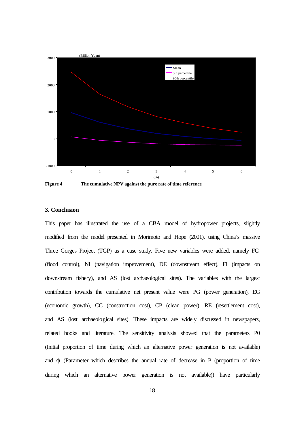

**Figure 4 The cumulative NPV against the pure rate of time reference**

#### **3. Conclusion**

This paper has illustrated the use of a CBA model of hydropower projects, slightly modified from the model presented in Morimoto and Hope (2001), using China's massive Three Gorges Project (TGP) as a case study. Five new variables were added, namely FC (flood control), NI (navigation improvement), DE (downstream effect), FI (impacts on downstream fishery), and AS (lost archaeological sites). The variables with the largest contribution towards the cumulative net present value were PG (power generation), EG (economic growth), CC (construction cost), CP (clean power), RE (resettlement cost), and AS (lost archaeological sites). These impacts are widely discussed in newspapers, related books and literature. The sensitivity analysis showed that the parameters P0 (Initial proportion of time during which an alternative power generation is not available) and  $\varphi$  (Parameter which describes the annual rate of decrease in P (proportion of time during which an alternative power generation is not available)) have particularly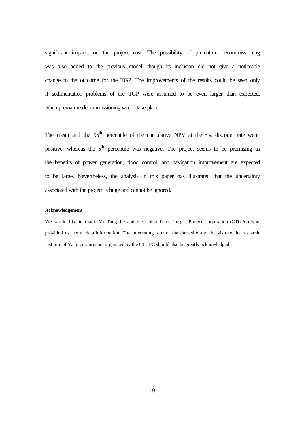significant impacts on the project cost. The possibility of premature decommissioning was also added to the previous model, though its inclusion did not give a noticeable change to the outcome for the TGP. The improvements of the results could be seen only if sedimentation problems of the TGP were assumed to be even larger than expected, when premature decommissioning would take place.

The mean and the  $95<sup>th</sup>$  percentile of the cumulative NPV at the 5% discount rate were positive, whereas the  $5<sup>th</sup>$  percentile was negative. The project seems to be promising as the benefits of power generation, flood control, and navigation improvement are expected to be large. Nevertheless, the analysis in this paper has illustrated that the uncertainty associated with the project is huge and cannot be ignored.

#### **Acknowledgement**

We would like to thank Mr Tang Jie and the China Three Gorges Project Corporation (CTGPC) who provided us useful data/information. The interesting tour of the dam site and the visit to the research institute of Yangtze sturgeon, organized by the CTGPC should also be greatly acknowledged.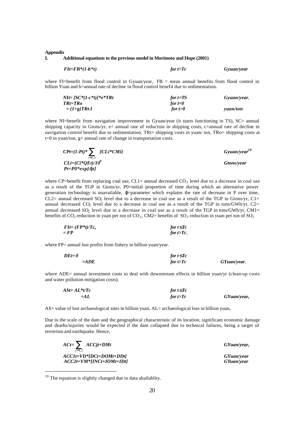#### **Appendix**

#### **I. Additional equations to the previous model in Morimoto and Hope (2001)**

| $F1t = FB*(1-b*t)$ | for $t > Tc$ | Gyuan/year |
|--------------------|--------------|------------|
|                    |              |            |

where FI=benefit from flood control in Gyuan/year, FB = mean annual benefits from flood control in billion Yuan and b=annual rate of decline in flood control benefit due to sedimentation.

| $Nlt = [SC*(1-c*t))*e*TRt$ | for $t = TS$ | Gyuan/year,     |
|----------------------------|--------------|-----------------|
| <i>TRt=TRo</i>             | for t=0      |                 |
| $=(1+g)TRt-1$              | for t $>0$   | <i>vuan/ton</i> |

where NI=benefit from navigation improvement in Gyuan/year (it starts functioning in TS), SC= annual shipping capacity in Gtons/yr, e= annual rate of reduction in shipping costs, c=annual rate of decline in navigation control benefit due to sedimentation, TRt= shipping costs in yuan/ ton, TRo= shipping costs at  $t=0$  in yuan/ton, g= annual rate of change in transportation costs

| $CPt=(1-Pt)^*\sum_{i} [CLi^*CMi]$ | $G$ yuan/year <sup>18</sup> |
|-----------------------------------|-----------------------------|
| $i=1.2$<br>$CLi=(Ci*OEt)/10^9$    | Gtons/year                  |
| $Pt = P0*exp[\cdot j t]$          |                             |

where CP=benefit from replacing coal use, CL1= annual decreased  $CO<sub>2</sub>$  level due to a decrease in coal use as a result of the TGP in Gtons/yr, P0=initial proportion of time during which an alternative power generation technology is unavailable, ϕ=parameter which explains the rate of decrease in P over time, CL2= annual decreased SO<sub>2</sub> level due to a decrease in coal use as a result of the TGP in Gtons/yr, C1= annual decreased  $CO_2$  level due to a decrease in coal use as a result of the TGP in tons/GWh/yr,  $C2=$ annual decreased  $SO_2$  level due to a decrease in coal use as a result of the TGP in tons/GWh/yr, CM1= benefits of  $CO_2$  reduction in yuan per ton of  $CO_2$ , CM2= benefits of  $SO_2$  reduction in yuan per ton of  $SO_2$ 

| $FIt = (FP*t)/Tc,$ | for $t$ £Tc    |
|--------------------|----------------|
| = FP               | for $t > Tc$ , |

where FP= annual lost profits from fishery in billion yuan/year.

| $DEt = 0$ | for $t$ £Tc  |             |
|-----------|--------------|-------------|
| $=ADE$    | for $t > Tc$ | GYuan/year. |

where ADE= annual investment costs to deal with downstream effects in billion yuan/yr (clean-up costs and water pollution mitigation costs).

| $ASt = AL*t/Te$ | for $t$ $\mathbf{f}Tc$ |             |
|-----------------|------------------------|-------------|
| = $AL$          | for $t > Tc$           | GYuan/year, |

AS= value of lost archaeological sites in billion yuan, AL= archaeological loss in billion yuan,

Due to the scale of the dam and the geographical characteristic of its location, significant economic damage and deaths/injuries would be expected if the dam collapsed due to technical failures, being a target of terrorism and earthquake. Hence,

| $ACt = \sum ACCjt + DMt$<br>$i=1.2$ | GYuan/year, |
|-------------------------------------|-------------|
| $ACClt = VD*IDCt + DOMt + DDt$      | GYuan/year  |
| $ACC2t=VM*[INCt+IOMt+IDt]$          | GYuan/year  |

<sup>&</sup>lt;sup>18</sup> The equation is slightly changed due to data abailablity.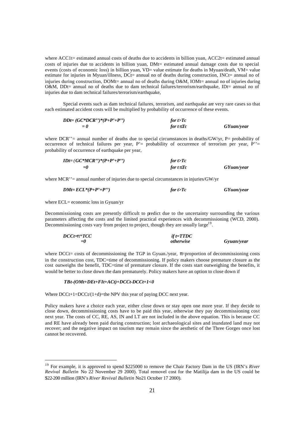where ACC1t= estimated annual costs of deaths due to accidents in billion yuan, ACC2t= estimated annual costs of injuries due to accidents in billion yuan, DMt= estimated annual damage costs due to special events (costs of economic loss) in billion yuan, VD= value estimate for deaths in Myuan/death, VM= value estimate for injuries in Myuan/illness, DCt= annual no of deaths during construction, INCt= annual no of injuries during construction, DOMt= annual no of deaths during O&M, IOMt= annual no of injuries during O&M, DDt= annual no of deaths due to dam technical failures/terrorism/earthquake, IDt= annual no of injuries due to dam technical failures/terrorism/earthquake,

Special events such as dam technical failures, terrorism, and earthquake are very rare cases so that each estimated accident costs will be multiplied by probability of occurrence of these events.

| $D D t = (G C^* D C R^{\prime\prime})^* (P + P^{\prime} + P^{\prime\prime})$ | for $t>Tc$  |            |
|------------------------------------------------------------------------------|-------------|------------|
| $= 0$                                                                        | for $t$ £Tc | GYuan/year |

where DCR''= annual number of deaths due to special circumstances in deaths/GW/yr,  $P=$  probability of occurrence of technical failures per year,  $P' =$  probability of occurrence of terrorism per year,  $P' =$ probability of occurrence of earthquake per year,

| $IDt = (GC * MCR'') * (P+P'+P'')$ | for $t > Tc$           |            |
|-----------------------------------|------------------------|------------|
| $= 0$                             | for $t$ $\mathbf{f}Tc$ | GYuan/year |

where MCR''= annual number of injuries due to special circumstances in injuries/GW/yr

$$
DMt = ECL^{*}(P+P^{*}+P^{*})
$$
 for t>Tc GYuan/year

where ECL= economic loss in Gyuan/yr

Decommissioning costs are presently difficult to predict due to the uncertainty surrounding the various parameters affecting the costs and the limited practical experiences with decommissioning (WCD, 2000). Decommissioning costs vary from project to project, though they are usually large<sup>19</sup>.

| $DCCt = p \cdot TCC$ | $if t = T T D C$ |            |
|----------------------|------------------|------------|
| $= 0$                | <i>otherwise</i> | Gyuan/year |

where DCCt= costs of decommissioning the TGP in Gyuan./year, π=proportion of decommissioning costs in the construction cost, TDC=time of decommissioning. If policy makers choose premature closure as the cost outweighs the benefit, TDC=time of premature closure. If the costs start outweighing the benefits, it would be better to close down the dam prematurely. Policy makers have an option to close down if

#### *TBt-(OMt+DEt+FIt+ACt)+DCCt-DCCt+1<0*

Where  $DCCt+1=DCCt/(1+d)=$ the NPV this year of paying DCC next year.

Policy makers have a choice each year, either close down or stay open one more year. If they decide to close down, decommissioning costs have to be paid this year, otherwise they pay decommissioning cost next year. The costs of CC, RE, AS, IN and LT are not included in the above equation. This is because CC and RE have already been paid during construction; lost archaeological sites and inundated land may not recover; and the negative impact on tourism may remain since the aesthetic of the Three Gorges once lost cannot be recovered.

<sup>19</sup> For example, it is approved to spend \$225000 to remove the Chair Factory Dam in the US (IRN's *River Revival Bulletin* No 22 November 29 2000). Total removel cost for the Matilija dam in the US could be \$22-200 million (IRN's *River Revival Bulletin* No21 October 17 2000).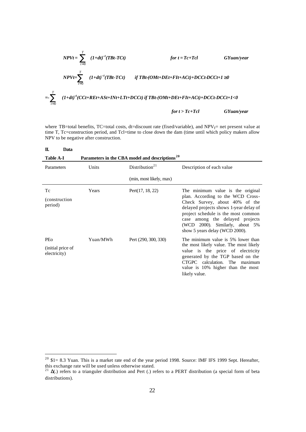$$
NPVt = \sum_{t=0}^{T} (1+dt)^{-t}(TBt-TCt)
$$
 for  $t = Tc+Tcl$  GYuan/year  
\n
$$
NPVt = \sum_{t=0}^{T} (1+dt)^{-t}(TBt-TCt)
$$
 if TBt-(OMt+DEt+FIt+ACt)+DCCt-DCCt+1<sup>3</sup>0  
\n
$$
= \sum_{t=0}^{T} (1+dt)^{-t}(CCt+REt+ASt+INt+LTt+DCCt)
$$
 if TBt-(OMt+DEt+FIt+ACt)+DCCt-DCCt+1<0  
\nfor  $t > Tc+Tcl$  GYuan/year

where TB=total benefits, TC=total costs, dt=discount rate (fixed/variable), and  $NPV_T=$  net present value at time T, Tc=construction period, and Tcl=time to close down the dam (time until which policy makers allow NPV to be negative after construction.

| П.<br>Data                               |          |                                                            |                                                                                                                                                                                                                                                                                                   |
|------------------------------------------|----------|------------------------------------------------------------|---------------------------------------------------------------------------------------------------------------------------------------------------------------------------------------------------------------------------------------------------------------------------------------------------|
| <b>Table A-I</b>                         |          | Parameters in the CBA model and descriptions <sup>20</sup> |                                                                                                                                                                                                                                                                                                   |
| Parameters                               | Units    | Distribution <sup>21</sup>                                 | Description of each value                                                                                                                                                                                                                                                                         |
|                                          |          | (min, most likely, max)                                    |                                                                                                                                                                                                                                                                                                   |
| Тc<br><i>(construction)</i><br>period)   | Years    | Pert(17, 18, 22)                                           | The minimum value is the original<br>plan. According to the WCD Cross-<br>Check Survey, about 40% of the<br>delayed projects shows 1-year delay of<br>project schedule is the most common<br>case among the delayed projects<br>(WCD 2000). Similarly, about 5%<br>show 5 years delay (WCD 2000). |
| PEo<br>(initial price of<br>electricity) | Yuan/MWh | Pert (290, 300, 330)                                       | The minimum value is 5% lower than<br>the most likely value. The most likely<br>value is the price of electricity<br>generated by the TGP based on the<br>CTGPC calculation. The maximum<br>value is 10% higher than the most<br>likely value.                                                    |

 $20\text{ }\$\text{1=8.3}$  Yuan. This is a market rate end of the year period 1998. Source: IMF IFS 1999 Sept. Hereafter, this exchange rate will be used unless otherwise stated.

<sup>&</sup>lt;sup>21</sup> Δ(.) refers to a trianguler distribution and Pert (.) refers to a PERT distribution (a special form of beta distributions).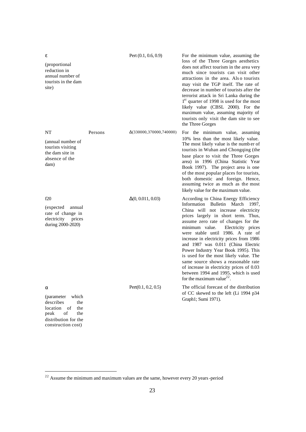| ε<br>(proportional)<br>reduction in<br>annual number of<br>tourists in the dam<br>site)                            |         | Pert $(0.1, 0.6, 0.9)$   | For the minimum value, assuming the<br>loss of the Three Gorges aesthetics<br>does not affect tourism in the area very<br>much since tourists can visit other<br>attractions in the area. Also tourists<br>may visit the TGP itself. The rate of<br>decrease in number of tourists after the<br>terrorist attack in Sri Lanka during the<br>$1st$ quarter of 1998 is used for the most<br>likely value (CBSL 2000). For the<br>maximum value, assuming majority of<br>tourists only visit the dam site to see<br>the Three Gorges                                                                                      |
|--------------------------------------------------------------------------------------------------------------------|---------|--------------------------|------------------------------------------------------------------------------------------------------------------------------------------------------------------------------------------------------------------------------------------------------------------------------------------------------------------------------------------------------------------------------------------------------------------------------------------------------------------------------------------------------------------------------------------------------------------------------------------------------------------------|
| NT<br>(annual number of<br>tourists visiting<br>the dam site in<br>absence of the<br>dam)                          | Persons | Δ(330000,370000,740000)  | For the minimum value, assuming<br>10% less than the most likely value.<br>The most likely value is the number of<br>tourists in Wuhan and Chongqing (the<br>base place to visit the Three Gorges<br>area) in 1996 (China Statistic Year<br>Book 1997). The project area is one<br>of the most popular places for tourists,<br>both domestic and foreign. Hence,<br>assuming twice as much as the most<br>likely value for the maximum value.                                                                                                                                                                          |
| f20<br>(expected)<br>annual<br>rate of change in<br>electricity<br>prices<br>during 2000-2020)                     |         | $\Delta(0, 0.011, 0.03)$ | According to China Energy Efficiency<br>Information Bulletin March<br>1997,<br>China will not increase electricity<br>prices largely in short term. Thus,<br>assume zero rate of changes for the<br>minimum value.<br>Electricity prices<br>were stable until 1986. A rate of<br>increase in electricity prices from 1986<br>and 1987 was 0.011 (China Electric<br>Power Industry Year Book 1995). This<br>is used for the most likely value. The<br>same source shows a reasonable rate<br>of increase in electricity prices of 0.03<br>between 1994 and 1995, which is used<br>for the maximum value <sup>22</sup> . |
| α<br>(parameter<br>which<br>describes<br>the<br>location<br>of<br>the<br>of<br>peak<br>the<br>distribution for the |         | Pert(0.1, 0.2, 0.5)      | The official forecast of the distribution<br>of CC skewed to the left (Li 1994 p34)<br>Graph1; Sumi 1971).                                                                                                                                                                                                                                                                                                                                                                                                                                                                                                             |

construction cost)

 $2<sup>22</sup>$  Assume the minimum and maximum values are the same, however every 20 years-period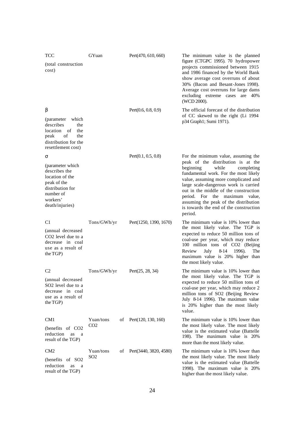| <b>TCC</b>                                                                                                                           | GYuan           |    | Pert(470, 610, 660)    | The minimum value is the planned                                                                                                                                                                                                                                                                                                                                          |
|--------------------------------------------------------------------------------------------------------------------------------------|-----------------|----|------------------------|---------------------------------------------------------------------------------------------------------------------------------------------------------------------------------------------------------------------------------------------------------------------------------------------------------------------------------------------------------------------------|
| (total construction)<br>cost)                                                                                                        |                 |    |                        | figure (CTGPC 1995). 70 hydropower<br>projects commissioned between 1915<br>and 1986 financed by the World Bank<br>show average cost overruns of about<br>30% (Bacon and Besant-Jones 1998).<br>Average cost overruns for large dams<br>excluding extreme cases are 40%<br>(WCD 2000).                                                                                    |
| β                                                                                                                                    |                 |    | Pert(0.6, 0.8, 0.9)    | The official forecast of the distribution                                                                                                                                                                                                                                                                                                                                 |
| (parameter<br>which<br>describes<br>the<br>location of<br>the<br>peak<br>of<br>the<br>distribution for the<br>resettlement cost)     |                 |    |                        | of CC skewed to the right (Li 1994<br>p34 Graph1; Sumi 1971).                                                                                                                                                                                                                                                                                                             |
| σ                                                                                                                                    |                 |    | Pert(0.1, 0.5, 0.8)    | For the minimum value, assuming the                                                                                                                                                                                                                                                                                                                                       |
| (parameter which)<br>describes the<br>location of the<br>peak of the<br>distribution for<br>number of<br>workers'<br>death/injuries) |                 |    |                        | peak of the distribution is at the<br>beginning<br>while<br>completing<br>fundamental work. For the most likely<br>value, assuming more complicated and<br>large scale-dangerous work is carried<br>out in the middle of the construction<br>period. For the maximum value,<br>assuming the peak of the distribution<br>is towards the end of the construction<br>period. |
| C <sub>1</sub>                                                                                                                       | Tons/GWh/yr     |    | Pert(1250, 1390, 1670) | The minimum value is 10% lower than                                                                                                                                                                                                                                                                                                                                       |
| (annual decreased<br>CO <sub>2</sub> level due to a<br>decrease in coal<br>use as a result of<br>the TGP)                            |                 |    |                        | the most likely value. The TGP is<br>expected to reduce 50 million tons of<br>coal-use per year, which may reduce<br>100 million tons of CO2 (Beijing<br>8-14<br>Review<br>July<br>1996).<br>The<br>maximum value is 20% higher than<br>the most likely value.                                                                                                            |
| C <sub>2</sub>                                                                                                                       | Tons/GWh/yr     |    | Pert(25, 28, 34)       | The minimum value is 10% lower than                                                                                                                                                                                                                                                                                                                                       |
| (annual decreased<br>SO <sub>2</sub> level due to a<br>decrease in coal<br>use as a result of<br>the TGP)                            |                 |    |                        | the most likely value. The TGP is<br>expected to reduce 50 million tons of<br>coal-use per year, which may reduce 2<br>million tons of SO2 (Beijing Review<br>July 8-14 1996). The maximum value<br>is 20% higher than the most likely<br>value.                                                                                                                          |
| CM <sub>1</sub>                                                                                                                      | Yuan/tons       | οf | Pert(120, 130, 160)    | The minimum value is 10% lower than                                                                                                                                                                                                                                                                                                                                       |
| (benefits of CO2<br>reduction<br>as<br>a<br>result of the TGP)                                                                       | CO <sub>2</sub> |    |                        | the most likely value. The most likely<br>value is the estimated value (Battelle<br>198). The maximum value is 20%<br>more than the most likely value.                                                                                                                                                                                                                    |
| CM <sub>2</sub>                                                                                                                      | Yuan/tons       | οf | Pert(3440, 3820, 4580) | The minimum value is 10% lower than                                                                                                                                                                                                                                                                                                                                       |
| (benefits of SO2<br>reduction<br>as<br>a<br>result of the TGP)                                                                       | SO2             |    |                        | the most likely value. The most likely<br>value is the estimated value (Battelle<br>1998). The maximum value is 20%<br>higher than the most likely value.                                                                                                                                                                                                                 |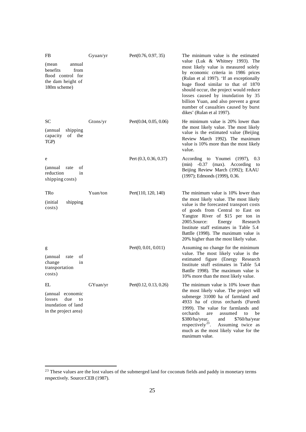| FB                                                                                            | Gyuan/yr | Pert $(0.76, 0.97, 35)$  | The minimum value is the estimated                                                                                                                                                                                                                                                                                                                                                              |
|-----------------------------------------------------------------------------------------------|----------|--------------------------|-------------------------------------------------------------------------------------------------------------------------------------------------------------------------------------------------------------------------------------------------------------------------------------------------------------------------------------------------------------------------------------------------|
| (mean<br>annual<br>benefits<br>from<br>flood control for<br>the dam height of<br>180m scheme) |          |                          | value (Luk & Whitney 1993). The<br>most likely value is measured solely<br>by economic criteria in 1986 prices<br>(Rulan et al 1997). 'If an exceptionally<br>huge flood similar to that of 1870<br>should occur, the project would reduce<br>losses caused by inundation by 35<br>billion Yuan, and also prevent a great<br>number of casualties caused by burst<br>dikes' (Rulan et al 1997). |
| SС                                                                                            | Gtons/yr | Pert(0.04, 0.05, 0.06)   | He minimum value is 20% lower than<br>the most likely value. The most likely                                                                                                                                                                                                                                                                                                                    |
| shipping<br>(annual)<br>of the<br>capacity<br>TGP)                                            |          |                          | value is the estimated value (Beijing<br>Review March 1992). The maximum<br>value is 10% more than the most likely<br>value.                                                                                                                                                                                                                                                                    |
| e                                                                                             |          | Pert $(0.3, 0.36, 0.37)$ | According to Youmei (1997),<br>0.3<br>$-0.37$<br>(max). According to<br>(min)                                                                                                                                                                                                                                                                                                                   |
| (annual)<br>rate<br>оf<br>reduction<br>in<br>shipping costs)                                  |          |                          | Beijing Review March (1992); EAAU<br>(1997); Edmonds (1999), 0.36.                                                                                                                                                                                                                                                                                                                              |
| TRo                                                                                           | Yuan/ton | Pert(110, 120, 140)      | The minimum value is 10% lower than                                                                                                                                                                                                                                                                                                                                                             |
| <i>(initial)</i><br>shipping<br>costs)                                                        |          |                          | the most likely value. The most likely<br>value is the forecasted transport costs<br>of goods from Central to East on<br>Yangtze River of \$15 per ton in<br>2005.Source:<br>Energy<br>Research<br>Institute staff estimates in Table 5.4<br>Battlle (1998). The maximum value is<br>20% higher than the most likely value.                                                                     |
| g                                                                                             |          | Pert(0, 0.01, 0.011)     | Assuming no change for the minimum                                                                                                                                                                                                                                                                                                                                                              |
| (annual)<br>rate<br>οf<br>change<br>in<br>transportation<br>costs)                            |          |                          | value. The most likely value is the<br>estimated figure (Energy Research<br>Institute stuff estimates in Table 5.4<br>Battlle 1998). The maximum value is<br>10% more than the most likely value.                                                                                                                                                                                               |
| EL                                                                                            | GYuan/yr | Pert(0.12, 0.13, 0.26)   | The minimum value is 10% lower than                                                                                                                                                                                                                                                                                                                                                             |
| (annual economic<br>due<br>losses<br>to<br>inundation of land<br>in the project area)         |          |                          | the most likely value. The project will<br>submerge 31000 ha of farmland and<br>4933 ha of citrus orchards (Furedi<br>1999). The value for farmlands and<br>orchards<br>are<br>assumed<br>to<br>be<br>\$380/ha/year,<br>and<br>\$760/ha/year<br>respectively <sup>23</sup> .<br>Assuming twice as<br>much as the most likely value for the<br>maximum value.                                    |

 $23$  These values are the lost values of the submerged land for coconuts fields and paddy in monetary terms respectively. Source:CEB (1987).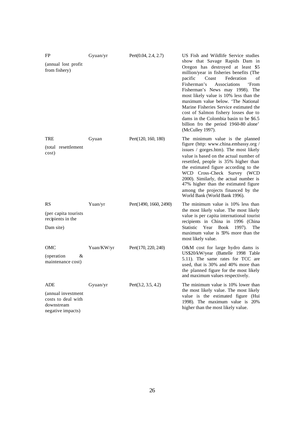| FP<br>(annual lost profit)<br>from fishery)                                        | Gyuan/yr    | Pert(0.04, 2.4, 2.7)   | US Fish and Wildlife Service studies<br>show that Savage Rapids Dam in<br>Oregon has destroyed at least \$5<br>million/year in fisheries benefits (The<br>pacific<br>Coast<br>Federation<br>οf<br>Fisherman's<br>Associations<br>'From<br>Fisherman's News may 1998). The<br>most likely value is 10% less than the<br>maximum value below. 'The National<br>Marine Fisheries Service estimated the<br>cost of Salmon fishery losses due to<br>dams in the Colombia basin to be \$6.5<br>billion fro the period 1960-80 alone'<br>(McCulley 1997). |
|------------------------------------------------------------------------------------|-------------|------------------------|----------------------------------------------------------------------------------------------------------------------------------------------------------------------------------------------------------------------------------------------------------------------------------------------------------------------------------------------------------------------------------------------------------------------------------------------------------------------------------------------------------------------------------------------------|
| TRE<br>(total resettlement<br>cost)                                                | Gyuan       | Pert(120, 160, 180)    | The minimum value is the planned<br>figure (http: www.china.embassy.org /<br>issues / gorges.htm). The most likely<br>value is based on the actual number of<br>resettled, people is 35% higher than<br>the estimated figure according to the<br>WCD Cross-Check Survey (WCD<br>2000). Similarly, the actual number is<br>47% higher than the estimated figure<br>among the projects financed by the<br>World Bank (World Bank 1996).                                                                                                              |
| <b>RS</b><br>(per capita tourists)<br>recipients in the<br>Dam site)               | Yuan/yr     | Pert(1490, 1660, 2490) | The minimum value is 10% less than<br>the most likely value. The most likely<br>value is per capita international tourist<br>recipients in China in 1996 (China<br><b>Statistic</b><br>Year<br><b>Book</b><br>1997).<br>The<br>maximum value is 50% more than the<br>most likely value.                                                                                                                                                                                                                                                            |
| OMC<br>(operation)<br>&<br>maintenance cost)                                       | Yuan/KW/yr  | Pert(170, 220, 240)    | O&M cost for large hydro dams is<br>US\$20/kW/year (Battelle 1998 Table<br>5.11). The same rates for TCC are<br>used, that is 30% and 40% more than<br>the planned figure for the most likely<br>and maximum values respectively.                                                                                                                                                                                                                                                                                                                  |
| ADE<br>(annual investment<br>costs to deal with<br>downstream<br>negative impacts) | $G$ yuan/yr | Pert(3.2, 3.5, 4.2)    | The minimum value is 10% lower than<br>the most likely value. The most likely<br>value is the estimated figure (Hui<br>1998). The maximum value is 20%<br>higher than the most likely value.                                                                                                                                                                                                                                                                                                                                                       |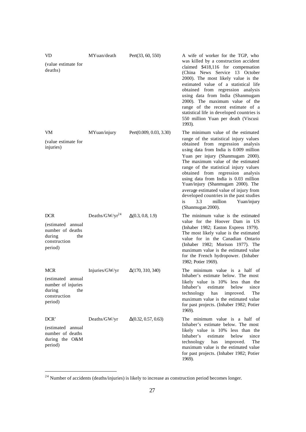| MYuan/death                | Pert(33, 60, 550)          | A wife of worker for the TGP, who<br>was killed by a construction accident                                                                                                                                                                                                                                                                                                                                                                                           |
|----------------------------|----------------------------|----------------------------------------------------------------------------------------------------------------------------------------------------------------------------------------------------------------------------------------------------------------------------------------------------------------------------------------------------------------------------------------------------------------------------------------------------------------------|
|                            |                            | claimed \$418,116 for compensation<br>(China News Service 13 October<br>2000). The most likely value is the<br>estimated value of a statistical life<br>obtained from regression analysis<br>using data from India (Shanmugam<br>2000). The maximum value of the<br>range of the recent estimate of a<br>statistical life in developed countries is<br>550 million Yuan per death (Viscusi<br>1993).                                                                 |
| MYuan/injury               | Pert(0.009, 0.03, 3.30)    | The minimum value of the estimated<br>range of the statistical injury values                                                                                                                                                                                                                                                                                                                                                                                         |
|                            |                            | obtained from regression analysis<br>using data from India is 0.009 million<br>Yuan per injury (Shanmugam 2000).<br>The maximum value of the estimated<br>range of the statistical injury values<br>obtained from regression analysis<br>using data from India is 0.03 million<br>Yuan/injury (Shanmugam 2000). The<br>average estimated value of injury from<br>developed countries in the past studies<br>3.3<br>million<br>Yuan/injury<br>is<br>(Shanmugan 2000). |
| Deaths/GW/yr <sup>24</sup> | $\Delta(0.3, 0.8, 1.9)$    | The minimum value is the estimated<br>value for the Hoover Dam in US<br>(Inhaber 1982; Easton Express 1979).<br>The most likely value is the estimated<br>value for in the Canadian Ontario<br>(Inhaber 1982; Morison 1977). The<br>maximum value is the estimated value                                                                                                                                                                                             |
|                            |                            | for the French hydropower. (Inhaber<br>1982; Potier 1969).                                                                                                                                                                                                                                                                                                                                                                                                           |
| Injuries/GW/yr             | $\Delta(170, 310, 340)$    | The minimum value is a half of<br>Inhaber's estimate below. The most<br>likely value is 10% less than the<br>Inhaber's<br>estimate<br>below<br>since<br>technology<br>has<br>improved.<br>The<br>maximum value is the estimated value<br>for past projects. (Inhaber 1982; Potier<br>1969).                                                                                                                                                                          |
| Deaths/GW/yr               | $\Delta(0.32, 0.57, 0.63)$ | The minimum value is a half of<br>Inhaber's estimate below. The most<br>likely value is 10% less than the<br>Inhaber's<br>estimate<br>below<br>since<br>technology<br>has<br>improved.<br>The<br>maximum value is the estimated value<br>for past projects. (Inhaber 1982; Potier<br>1969).                                                                                                                                                                          |
|                            |                            |                                                                                                                                                                                                                                                                                                                                                                                                                                                                      |

 $^{24}$  Number of accidents (deaths/injuries) is likely to increase as construction period becomes longer.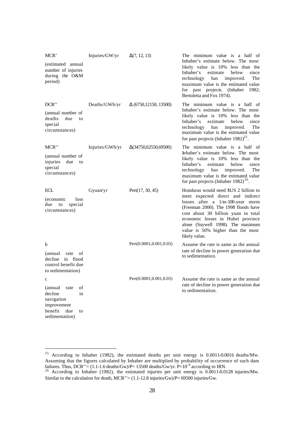| MCR'                                                                                      | Injuries/GW/yr  | $\Delta(7, 12, 13)$           | The minimum value is a half of                                                                                                                                                                                                                                                         |
|-------------------------------------------------------------------------------------------|-----------------|-------------------------------|----------------------------------------------------------------------------------------------------------------------------------------------------------------------------------------------------------------------------------------------------------------------------------------|
| (estimated annual<br>number of injuries<br>during the O&M<br>period)                      |                 |                               | Inhaber's estimate below. The most<br>likely value is 10% less than the<br>since<br>Inhaber's<br>estimate<br>below<br>technology<br>improved.<br>The<br>has<br>maximum value is the estimated value<br>for past projects. (Inhaber<br>1982;<br>Bertoletta and Fox 1974).               |
| DCR"                                                                                      | Deaths/GWh/yr   | $\Delta$ (6750, 12150, 13500) | The minimum value is a half of                                                                                                                                                                                                                                                         |
| (annual number of<br>deaths<br>due<br>to<br>special<br>circumstances)                     |                 |                               | Inhaber's estimate below. The most<br>likely value is 10% less than the<br>Inhaber's<br>estimate<br>below<br>since<br>technology<br>improved.<br>The<br>has<br>maximum value is the estimated value<br>for past projects (Inhaber $1982)^{25}$ .                                       |
| MCR"                                                                                      | Injuries/GWh/yr | $\Delta(34750,62550,69500)$   | The minimum value is a half of                                                                                                                                                                                                                                                         |
| (annual number of<br>injuries<br>due<br>to<br>special<br>circumstances)                   |                 |                               | Inhaber's estimate below. The most<br>likely value is 10% less than the<br>Inhaber's<br>estimate<br>below<br>since<br>technology<br>has<br>improved.<br>The<br>maximum value is the estimated value<br>for past projects (Inhaber 1982) <sup>26</sup> .                                |
|                                                                                           |                 |                               |                                                                                                                                                                                                                                                                                        |
| ECL                                                                                       | Gyuan/yr        | Pert(17, 30, 45)              | Honduras would need \$US 2 billion to                                                                                                                                                                                                                                                  |
| (economic<br>loss<br>due<br>special<br>to<br>circumstances)                               |                 |                               | meet expected direct and indirect<br>losses after a 1-in-100-year storm<br>(Freeman 2000). The 1998 floods have<br>cost about 30 billion yuan in total<br>economic losses in Hubei province<br>alone (Saywell 1998). The maximum<br>value is 50% higher than the most<br>likely value. |
| b                                                                                         |                 | Pert(0.0001, 0.001, 0.03)     | Assume the rate is same as the annual                                                                                                                                                                                                                                                  |
| (annual)<br>rate<br>οf<br>decline<br>in flood<br>control benefit due<br>to sedimentation) |                 |                               | rate of decline in power generation due<br>to sedimentation.                                                                                                                                                                                                                           |
| $\mathbf{C}$                                                                              |                 | Pert(0.0001, 0.001, 0.03)     | Assume the rate is same as the annual                                                                                                                                                                                                                                                  |
| (annual)<br>rate<br>οf<br>decline<br>in<br>navigation<br>improvement                      |                 |                               | rate of decline in power generation due<br>to sedimentation.                                                                                                                                                                                                                           |

<sup>&</sup>lt;sup>25</sup> According to Inhaber (1982), the estimated deaths per unit energy is  $0.0011$ -0.0016 deaths/Mw. Assuming that the figures calculated by Inhaber are multiplied by probability of occurrence of such dam failures. Thus, DCR''=  $(1.1-1.6$  deaths/Gw)/P= 13500 deaths/Gw/yr. P= $10^{-4}$  according to IRN.

 $^{26}$  According to Inhaber (1982), the estimated injuries per unit energy is 0.0011-0.0128 injuries/Mw. Similar to the calculation for death,  $MCR'' = (1.1-12.8 \text{ injuries/Gw})/P = 69500 \text{ injuries/Gw}.$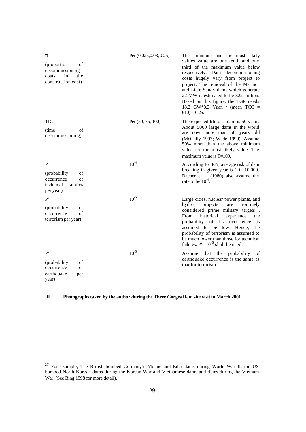| π<br>(proportion<br>οf<br>decommissioning<br>in<br>costs<br>the<br>construction cost) | Pert(0.025, 0.08, 0.25) | The minimum and the most likely<br>values value are one tenth and one<br>third of the maximum value below<br>respectively. Dam decommissioning<br>costs hugely vary from project to<br>project. The removal of the Marmot<br>and Little Sandy dams which generate<br>22 MW is estimated to be \$22 million.<br>Based on this figure, the TGP needs<br>18.2 GW*8.3 Yuan / (mean $TCC =$<br>$610$ ) = 0.25. |
|---------------------------------------------------------------------------------------|-------------------------|-----------------------------------------------------------------------------------------------------------------------------------------------------------------------------------------------------------------------------------------------------------------------------------------------------------------------------------------------------------------------------------------------------------|
| <b>TDC</b><br>(time)<br>of<br>decommissioning)                                        | Pert(50, 75, 100)       | The expected life of a dam is 50 years.<br>About 5000 large dams in the world<br>are now more than 50 years old<br>(McCully 1997; Wade 1999). Assume<br>50% more than the above minimum<br>value for the most likely value. The<br>maximum value is $T=100$ .                                                                                                                                             |
| P<br>(probability<br>of<br>of<br>occurrence<br>technical failures<br>per year)        | $10^{-4}$               | According to IRN, average risk of dam<br>breaking in given year is 1 in 10,000.<br>Bacher et al (1980) also assume the<br>rate to be $10^4$ .                                                                                                                                                                                                                                                             |
| P'<br>οf<br>(probability)<br>of<br>occurrence<br>terrorism per year)                  | $10^{-5}$               | Large cities, nuclear power plants, and<br>hydro<br>projects<br>are<br>routinely<br>considered prime military targets <sup>27</sup> .<br>historical<br>From<br>experience<br>the<br>probability of its<br>occurrence<br>is<br>assumed to be low. Hence, the<br>probability of terrorism is assumed to<br>be much lower than those for technical<br>failures. $P' = 10^{-5}$ shall be used.                |
| P<br>of<br>(probability)<br>of<br>occurrence<br>earthquake<br>per<br>year)            | $10^{-5}$               | that the probability<br>Assume<br>of<br>earthquake occurrence is the same as<br>that for terrorism                                                                                                                                                                                                                                                                                                        |

#### **III. Photographs taken by the author during the Three Gorges Dam site visit in March 2001**

<sup>&</sup>lt;sup>27</sup> For example, The British bombed Germany's Mohne and Eder dams during World War II, the US bombed North Korean dams during the Korean War and Vietnamese dams and dikes during the Vietnam War. (See Bing 1998 for more detail).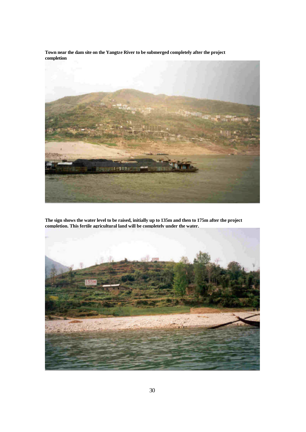**Town near the dam site on the Yangtze River to be submerged completely after the project completion**



**The sign shows the water level to be raised, initially up to 135m and then to 175m after the project completion. This fertile agricultural land will be completely under the water.** 

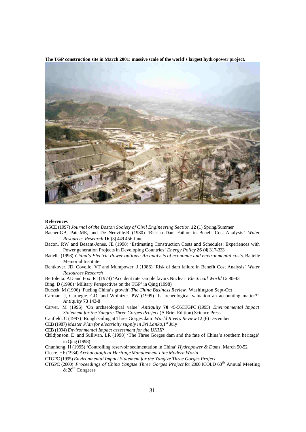

**The TGP construction site in March 2001: massive scale of the world's largest hydropower project.** 

#### **References**

ASCE (1997) *Journal of the Boston Society of Civil Engineering Section* **12** (1) Spring/Summer

- Bacher.GB, Pate.ME, and De Neuville.R (1980) 'Risk of Dam Failure in Benefit-Cost Analysis' *Water Resources Research* **16** (3) 449-456 June
- Bacon. RW and Besant-Jones. JE (1998) 'Estimating Construction Costs and Schedules: Experiences with Power generation Projects in Developing Countries' *Energy Policy* **26** (4) 317-333
- Battelle (1998) *China's Electric Power options: An analysis of economic and environmental costs*, Battelle Memorial Institute
- Bentkover. JD, Covello. VT and Mumpower. J (1986) 'Risk of dam failure in Benefit Cost Analysis' *Water Resources Research*
- Bertoletta. AD and Fox. RJ (1974) 'Accident rate sample favors Nuclear' *Electrical World* **15** 40-43

Bing. D (1998) 'Military Perspectives on the TGP' in Qing (1998)

- Buczek, M (1996) 'Fueling China's growth' *The China Business Review*, Washington Sept-Oct
- Carman. J, Garnegie. GD, and Wolnizer. PW (1999) 'Is archeological valuation an accounting matter?' *Antiquity* **73** 143-8
- Carver. M (1996) 'On archaeological value' *Antiquity* **70** 45-56CTGPC (1995) *Environmental Impact Statement for the Yangtze Three Gorges Pro ject* (A Brief Edition) Science Press
- Caufield. C (1997) 'Rough sailing at Three Gorges dam' *World Rivers Review* 12 (6) December

CEB (1987) *Master Plan for electricity supply in Sri Lanka*, 1<sup>st</sup> July

- CEB (1994) *Environmental Impact assessment for the UKHP*
- Childjonson. E and Sullivan. LR (1998) 'The Three Gorges dam and the fate of China's southern heritage' in Qing (1998)
- Chunhong. H (1995) 'Controlling reservoir sedimentation in China' *Hydropower & Dams,* March 50-52

Cleere. HF (1984) *Archaeological Heritage Management I the Modern World*

- CTGPC (1995) *Environmental Impact Statement for the Yangtze Three Gorges Project*
- CTGPC (2000) *Proceedings of China Yangtze Three Gorges Project* for 2000 ICOLD 68th Annual Meeting  $& 20<sup>th</sup> Congress$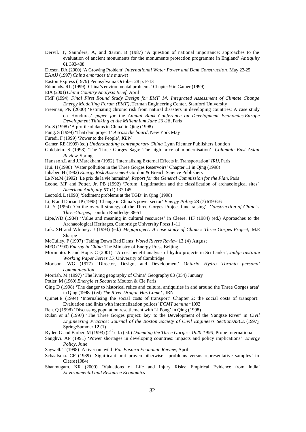- Dervil. T, Saunders, A, and Sartin, B (1987) 'A question of national importance: approaches to the evaluation of ancient monuments for the monuments protection programme in England' *Antiquity* **61** 393-408
- Dixson. DA (2000) 'A Growing Problem' *International Water Power and Dam Construction,* May 23-25
- EAAU (1997) *China embraces the market*
- Easton Express (1979) Pennsylvania October 28 p. F-13
- Edmonds. RL (1999) 'China's environmental problems' Chapter 9 in Gamer (1999)
- EIA (2001) *China Country Analysis Brief,* April
- FMF (1994) *Final First Round Study Design for EMF 14: Integrated Assessment of Climate Change Energy Modelling Forum (EMF),* Terman Engineering Center, Stanford University
- Freeman, PK (2000) 'Estimating chronic risk from natural disasters in developing countries: A case study on Honduras' *paper for* the *Annual Bank Conference on Development Economics-Europe Development Thinking at the Millennium June 26-28*, Paris
- Fu. S (1998) 'A profile of dams in China' in Qing (1998)
- Fung. S (1999) 'That dam project!' *Across the board,* New York May
- Furedi. F (1999) 'Power to the People', *KLW*
- Gamer. RE (1999) (ed.) *Understanding contemporary China* Lynn Rienner Publishers London
- Goldstein. S (1998) 'The Three Gorges Saga: The high price of modernisation' *Columbia East Asian Review*, Spring
- Hansson.L and J.Marckham (1992) 'Internalising External Effects in Transportation' *IRU*, Paris
- Hui. H (1998) 'Water pollution in the Three Gorges Reservoirs' Chapter 11 in Qing (1998)
- Inhaber. H (1982) *Energy Risk Assessment* Gordon & Breach Science Publishers
- Le Net.M (1992) 'Le prix de la vie humaine', *Report for the General Commission for the Plan*, Paris
- Leone. MP and Potter. Jr. PB (1992) 'Forum: Legitimation and the classification of archaeological sites' *American Antiquity* **57** (1) 137-145
- Leopold. L (1998) 'Sediment problems at the TGD' in Qing (1998)
- Li, B and Dorian JP (1995) 'Change in China's power sector' *Energy Policy* **23** (7) 619-626
- Li, Y (1994) 'On the overall strategy of the Three Gorges Project fund raising' *Construction of China's Three Gorges,* London Routledge 38-51
- Lipe,WD (1984) 'Value and meaning in cultural resources' in Cleere. HF (1984) (ed.) Approaches to the Archaeological Heritages, Cambridge University Press 1-11
- Luk. SH and Whitney. J (1993) (ed.) *Megaproject: A case study of China's Three Gorges Project,* M.E Sharpe
- McCulley, P (1997) 'Taking Down Bad Dams' *World Rivers Review* **12** (4) August
- MFO (1990) *Energy in China* The Ministry of Energy Press Beijing
- Morimoto. R and Hope. C (2001), 'A cost benefit analysis of hydro projects in Sri Lanka', *Judge Institute Working Paper Series 15*, University of Cambridge
- Morison. WG (1977) 'Director, Design, and Development' *Ontario Hydro Toronto personal communication*
- Morrish. M (1997) 'The living geography of China' Geography **83** (354) Junuary
- Potier. M (1969) *Energie et Securite* Mouton & Cie Paris
- Qing D (1998) 'The danger to historical relics and cultural antiquities in and around the Three Gorges area' in Qing (1998a) (ed) *The River Dragon Has Come!* , IRN
- Quinet.E (1994) 'Internalising the social costs of transport' Chapter 2: the social costs of transport: Evaluation and links with internalization polices' *ECMT seminar* 1993
- Ren. Q (1998) 'Discussing population resettlement with Li Pong' in Qing (1998)
- Rulan *et al* (1997) 'The Three Gorges project: key to the Development of the Yangtze River' in *Civil Engineering Practice: Journal of the Boston Society of Civil Engineers Section/ASCE* (1997), Spring/Summer **12** (1)
- Ryder. G and Barber. M (1993) (2nd ed.) (ed.) *Damming the Three Gorges: 1920-1993,* Probe International
- Sanghvi. AP (1991) 'Power shortages in developing countries: impacts and policy implications' *Energy Policy,* June
- Saywell. T (1998) 'A river run wild' *Far Eastern Economic Review,* April
- Schaafsma. CF (1989) 'Significant unit proven otherwise: problems versus representative samples' in Cleere (1984)
- Shanmugam. KR (2000) 'Valuations of Life and Injury Risks: Empirical Evidence from India' *Environmental and Resource Economics*